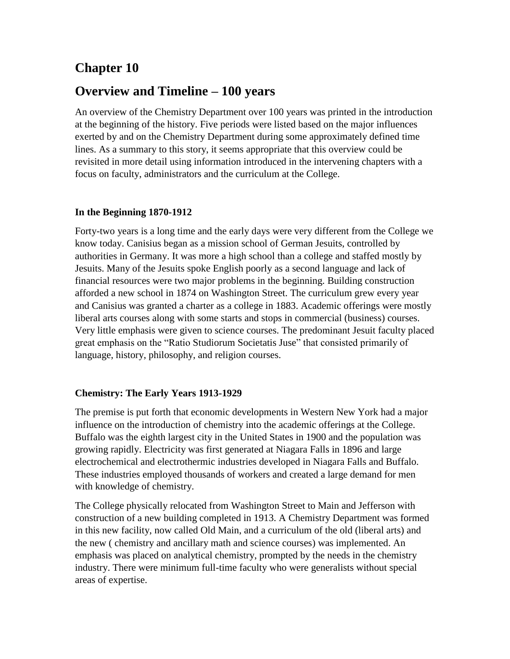# **Chapter 10**

## **Overview and Timeline – 100 years**

An overview of the Chemistry Department over 100 years was printed in the introduction at the beginning of the history. Five periods were listed based on the major influences exerted by and on the Chemistry Department during some approximately defined time lines. As a summary to this story, it seems appropriate that this overview could be revisited in more detail using information introduced in the intervening chapters with a focus on faculty, administrators and the curriculum at the College.

## **In the Beginning 1870-1912**

Forty-two years is a long time and the early days were very different from the College we know today. Canisius began as a mission school of German Jesuits, controlled by authorities in Germany. It was more a high school than a college and staffed mostly by Jesuits. Many of the Jesuits spoke English poorly as a second language and lack of financial resources were two major problems in the beginning. Building construction afforded a new school in 1874 on Washington Street. The curriculum grew every year and Canisius was granted a charter as a college in 1883. Academic offerings were mostly liberal arts courses along with some starts and stops in commercial (business) courses. Very little emphasis were given to science courses. The predominant Jesuit faculty placed great emphasis on the "Ratio Studiorum Societatis Juse" that consisted primarily of language, history, philosophy, and religion courses.

## **Chemistry: The Early Years 1913-1929**

The premise is put forth that economic developments in Western New York had a major influence on the introduction of chemistry into the academic offerings at the College. Buffalo was the eighth largest city in the United States in 1900 and the population was growing rapidly. Electricity was first generated at Niagara Falls in 1896 and large electrochemical and electrothermic industries developed in Niagara Falls and Buffalo. These industries employed thousands of workers and created a large demand for men with knowledge of chemistry.

The College physically relocated from Washington Street to Main and Jefferson with construction of a new building completed in 1913. A Chemistry Department was formed in this new facility, now called Old Main, and a curriculum of the old (liberal arts) and the new ( chemistry and ancillary math and science courses) was implemented. An emphasis was placed on analytical chemistry, prompted by the needs in the chemistry industry. There were minimum full-time faculty who were generalists without special areas of expertise.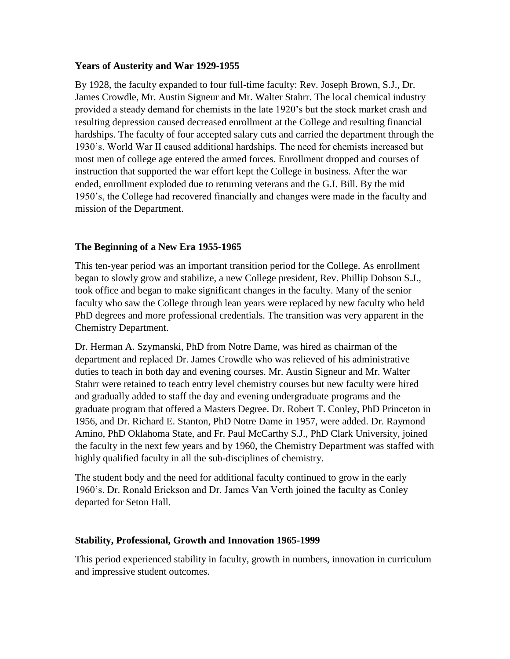#### **Years of Austerity and War 1929-1955**

By 1928, the faculty expanded to four full-time faculty: Rev. Joseph Brown, S.J., Dr. James Crowdle, Mr. Austin Signeur and Mr. Walter Stahrr. The local chemical industry provided a steady demand for chemists in the late 1920's but the stock market crash and resulting depression caused decreased enrollment at the College and resulting financial hardships. The faculty of four accepted salary cuts and carried the department through the 1930's. World War II caused additional hardships. The need for chemists increased but most men of college age entered the armed forces. Enrollment dropped and courses of instruction that supported the war effort kept the College in business. After the war ended, enrollment exploded due to returning veterans and the G.I. Bill. By the mid 1950's, the College had recovered financially and changes were made in the faculty and mission of the Department.

## **The Beginning of a New Era 1955-1965**

This ten-year period was an important transition period for the College. As enrollment began to slowly grow and stabilize, a new College president, Rev. Phillip Dobson S.J., took office and began to make significant changes in the faculty. Many of the senior faculty who saw the College through lean years were replaced by new faculty who held PhD degrees and more professional credentials. The transition was very apparent in the Chemistry Department.

Dr. Herman A. Szymanski, PhD from Notre Dame, was hired as chairman of the department and replaced Dr. James Crowdle who was relieved of his administrative duties to teach in both day and evening courses. Mr. Austin Signeur and Mr. Walter Stahrr were retained to teach entry level chemistry courses but new faculty were hired and gradually added to staff the day and evening undergraduate programs and the graduate program that offered a Masters Degree. Dr. Robert T. Conley, PhD Princeton in 1956, and Dr. Richard E. Stanton, PhD Notre Dame in 1957, were added. Dr. Raymond Amino, PhD Oklahoma State, and Fr. Paul McCarthy S.J., PhD Clark University, joined the faculty in the next few years and by 1960, the Chemistry Department was staffed with highly qualified faculty in all the sub-disciplines of chemistry.

The student body and the need for additional faculty continued to grow in the early 1960's. Dr. Ronald Erickson and Dr. James Van Verth joined the faculty as Conley departed for Seton Hall.

## **Stability, Professional, Growth and Innovation 1965-1999**

This period experienced stability in faculty, growth in numbers, innovation in curriculum and impressive student outcomes.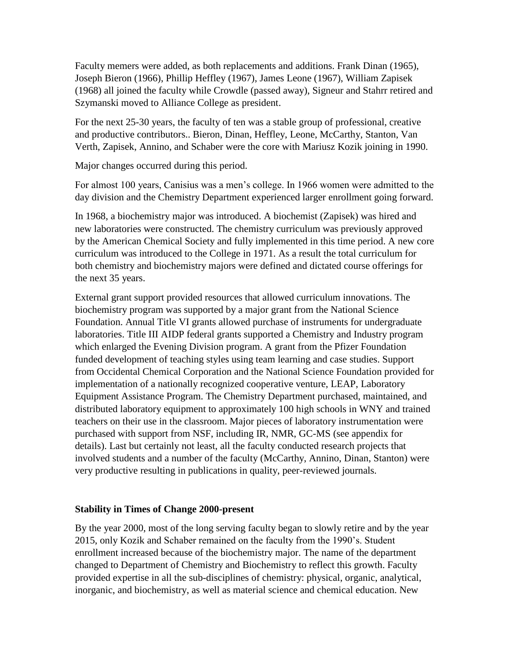Faculty memers were added, as both replacements and additions. Frank Dinan (1965), Joseph Bieron (1966), Phillip Heffley (1967), James Leone (1967), William Zapisek (1968) all joined the faculty while Crowdle (passed away), Signeur and Stahrr retired and Szymanski moved to Alliance College as president.

For the next 25-30 years, the faculty of ten was a stable group of professional, creative and productive contributors.. Bieron, Dinan, Heffley, Leone, McCarthy, Stanton, Van Verth, Zapisek, Annino, and Schaber were the core with Mariusz Kozik joining in 1990.

Major changes occurred during this period.

For almost 100 years, Canisius was a men's college. In 1966 women were admitted to the day division and the Chemistry Department experienced larger enrollment going forward.

In 1968, a biochemistry major was introduced. A biochemist (Zapisek) was hired and new laboratories were constructed. The chemistry curriculum was previously approved by the American Chemical Society and fully implemented in this time period. A new core curriculum was introduced to the College in 1971. As a result the total curriculum for both chemistry and biochemistry majors were defined and dictated course offerings for the next 35 years.

External grant support provided resources that allowed curriculum innovations. The biochemistry program was supported by a major grant from the National Science Foundation. Annual Title VI grants allowed purchase of instruments for undergraduate laboratories. Title III AIDP federal grants supported a Chemistry and Industry program which enlarged the Evening Division program. A grant from the Pfizer Foundation funded development of teaching styles using team learning and case studies. Support from Occidental Chemical Corporation and the National Science Foundation provided for implementation of a nationally recognized cooperative venture, LEAP, Laboratory Equipment Assistance Program. The Chemistry Department purchased, maintained, and distributed laboratory equipment to approximately 100 high schools in WNY and trained teachers on their use in the classroom. Major pieces of laboratory instrumentation were purchased with support from NSF, including IR, NMR, GC-MS (see appendix for details). Last but certainly not least, all the faculty conducted research projects that involved students and a number of the faculty (McCarthy, Annino, Dinan, Stanton) were very productive resulting in publications in quality, peer-reviewed journals.

#### **Stability in Times of Change 2000-present**

By the year 2000, most of the long serving faculty began to slowly retire and by the year 2015, only Kozik and Schaber remained on the faculty from the 1990's. Student enrollment increased because of the biochemistry major. The name of the department changed to Department of Chemistry and Biochemistry to reflect this growth. Faculty provided expertise in all the sub-disciplines of chemistry: physical, organic, analytical, inorganic, and biochemistry, as well as material science and chemical education. New